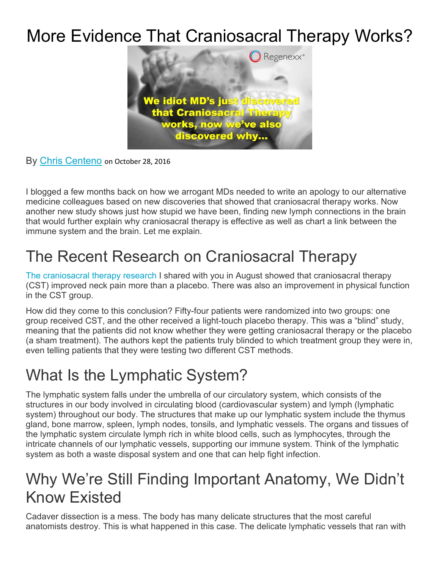# More Evidence That Craniosacral Therapy Works?



By Chris Centeno on October 28, 2016

I blogged a few months back on how we arrogant MDs needed to write an apology to our alternative medicine colleagues based on new discoveries that showed that craniosacral therapy works. Now another new study shows just how stupid we have been, finding new lymph connections in the brain that would further explain why craniosacral therapy is effective as well as chart a link between the immune system and the brain. Let me explain.

### The Recent Research on Craniosacral Therapy

The craniosacral therapy research I shared with you in August showed that craniosacral therapy (CST) improved neck pain more than a placebo. There was also an improvement in physical function in the CST group.

How did they come to this conclusion? Fifty-four patients were randomized into two groups: one group received CST, and the other received a light-touch placebo therapy. This was a "blind" study, meaning that the patients did not know whether they were getting craniosacral therapy or the placebo (a sham treatment). The authors kept the patients truly blinded to which treatment group they were in, even telling patients that they were testing two different CST methods.

## What Is the Lymphatic System?

The lymphatic system falls under the umbrella of our circulatory system, which consists of the structures in our body involved in circulating blood (cardiovascular system) and lymph (lymphatic system) throughout our body. The structures that make up our lymphatic system include the thymus gland, bone marrow, spleen, lymph nodes, tonsils, and lymphatic vessels. The organs and tissues of the lymphatic system circulate lymph rich in white blood cells, such as lymphocytes, through the intricate channels of our lymphatic vessels, supporting our immune system. Think of the lymphatic system as both a waste disposal system and one that can help fight infection.

#### Why We're Still Finding Important Anatomy, We Didn't Know Existed

Cadaver dissection is a mess. The body has many delicate structures that the most careful anatomists destroy. This is what happened in this case. The delicate lymphatic vessels that ran with